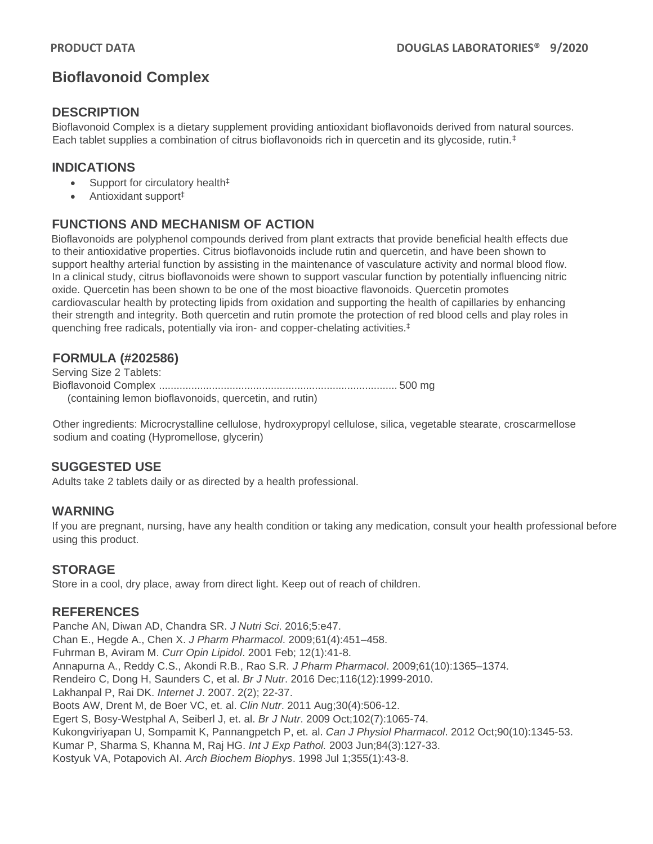# **Bioflavonoid Complex**

#### **DESCRIPTION**

Bioflavonoid Complex is a dietary supplement providing antioxidant bioflavonoids derived from natural sources. Each tablet supplies a combination of citrus bioflavonoids rich in quercetin and its glycoside, rutin.‡

## **INDICATIONS**

- Support for circulatory health<sup>‡</sup>
- Antioxidant support‡

## **FUNCTIONS AND MECHANISM OF ACTION**

Bioflavonoids are polyphenol compounds derived from plant extracts that provide beneficial health effects due to their antioxidative properties. Citrus bioflavonoids include rutin and quercetin, and have been shown to support healthy arterial function by assisting in the maintenance of vasculature activity and normal blood flow. In a clinical study, citrus bioflavonoids were shown to support vascular function by potentially influencing nitric oxide. Quercetin has been shown to be one of the most bioactive flavonoids. Quercetin promotes cardiovascular health by protecting lipids from oxidation and supporting the health of capillaries by enhancing their strength and integrity. Both quercetin and rutin promote the protection of red blood cells and play roles in quenching free radicals, potentially via iron- and copper-chelating activities. ‡

## **FORMULA (#202586)**

Serving Size 2 Tablets: Bioflavonoid Complex ................................................................................. 500 mg (containing lemon bioflavonoids, quercetin, and rutin)

Other ingredients: Microcrystalline cellulose, hydroxypropyl cellulose, silica, vegetable stearate, croscarmellose sodium and coating (Hypromellose, glycerin)

## **SUGGESTED USE**

Adults take 2 tablets daily or as directed by a health professional.

#### **WARNING**

If you are pregnant, nursing, have any health condition or taking any medication, consult your health professional before using this product.

## **STORAGE**

Store in a cool, dry place, away from direct light. Keep out of reach of children.

#### **REFERENCES**

Panche AN, Diwan AD, Chandra SR. *J Nutri Sci*. 2016;5:e47. Chan E., Hegde A., Chen X. *J Pharm Pharmacol*. 2009;61(4):451–458. Fuhrman B, Aviram M. *Curr Opin Lipidol*. 2001 Feb; 12(1):41-8. Annapurna A., Reddy C.S., Akondi R.B., Rao S.R*. J Pharm Pharmacol*. 2009;61(10):1365–1374. Rendeiro C, Dong H, Saunders C, et al. *Br J Nutr*. 2016 Dec;116(12):1999-2010. Lakhanpal P, Rai DK. *Internet J*. 2007. 2(2); 22-37. Boots AW, Drent M, de Boer VC, et. al. *Clin Nutr*. 2011 Aug;30(4):506-12. Egert S, Bosy-Westphal A, Seiberl J, et. al. *Br J Nutr*. 2009 Oct;102(7):1065-74. Kukongviriyapan U, Sompamit K, Pannangpetch P, et. al. *Can J Physiol Pharmacol*. 2012 Oct;90(10):1345-53. Kumar P, Sharma S, Khanna M, Raj HG. *Int J Exp Pathol.* 2003 Jun;84(3):127-33. Kostyuk VA, Potapovich AI. *Arch Biochem Biophys*. 1998 Jul 1;355(1):43-8.